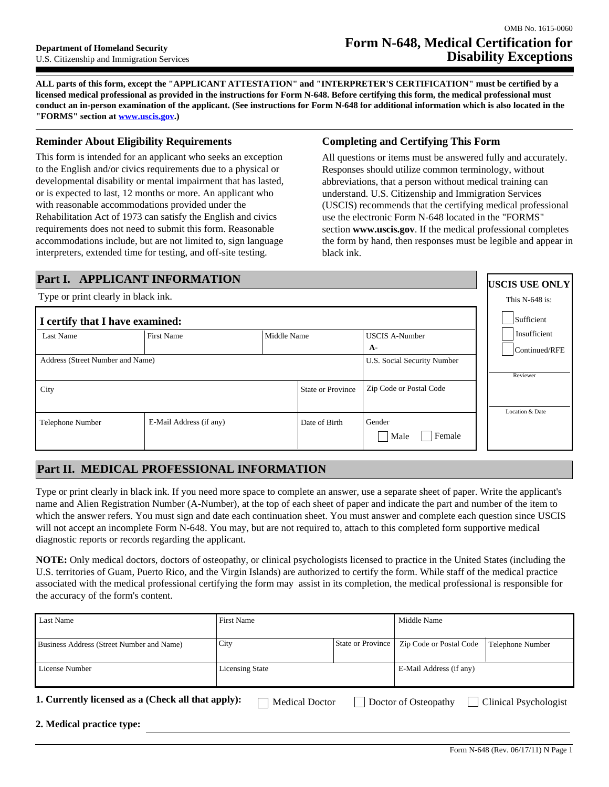**ALL parts of this form, except the "APPLICANT ATTESTATION" and "INTERPRETER'S CERTIFICATION" must be certified by a licensed medical professional as provided in the instructions for Form N-648. Before certifying this form, the medical professional must conduct an in-person examination of the applicant. (See instructions for Form N-648 for additional information which is also located in the "FORMS" section at www.uscis.gov.)**

### **Reminder About Eligibility Requirements**

This form is intended for an applicant who seeks an exception to the English and/or civics requirements due to a physical or developmental disability or mental impairment that has lasted, or is expected to last, 12 months or more. An applicant who with reasonable accommodations provided under the Rehabilitation Act of 1973 can satisfy the English and civics requirements does not need to submit this form. Reasonable accommodations include, but are not limited to, sign language interpreters, extended time for testing, and off-site testing.

### **Completing and Certifying This Form**

All questions or items must be answered fully and accurately. Responses should utilize common terminology, without abbreviations, that a person without medical training can understand. U.S. Citizenship and Immigration Services (USCIS) recommends that the certifying medical professional use the electronic Form N-648 located in the "FORMS" section **www.uscis.gov**. If the medical professional completes the form by hand, then responses must be legible and appear in black ink.

> **USCIS USE ONLY** This N-648 is:

# **Part I. APPLICANT INFORMATION**

Type or print clearly in black ink.

| I certify that I have examined:  |                         | Sufficient               |                             |                                            |  |                               |  |
|----------------------------------|-------------------------|--------------------------|-----------------------------|--------------------------------------------|--|-------------------------------|--|
| Last Name                        | <b>First Name</b>       | Middle Name              |                             | <b>USCIS A-Number</b><br>A-                |  | Insufficient<br>Continued/RFE |  |
| Address (Street Number and Name) |                         |                          | U.S. Social Security Number | Reviewer                                   |  |                               |  |
| City                             |                         | <b>State or Province</b> |                             | Zip Code or Postal Code                    |  | Location & Date               |  |
| Telephone Number                 | E-Mail Address (if any) |                          | Date of Birth               | Gender<br>Female<br>Male<br>$\blacksquare$ |  |                               |  |

# **Part II. MEDICAL PROFESSIONAL INFORMATION**

Type or print clearly in black ink. If you need more space to complete an answer, use a separate sheet of paper. Write the applicant's name and Alien Registration Number (A-Number), at the top of each sheet of paper and indicate the part and number of the item to which the answer refers. You must sign and date each continuation sheet. You must answer and complete each question since USCIS will not accept an incomplete Form N-648. You may, but are not required to, attach to this completed form supportive medical diagnostic reports or records regarding the applicant.

**NOTE:** Only medical doctors, doctors of osteopathy, or clinical psychologists licensed to practice in the United States (including the U.S. territories of Guam, Puerto Rico, and the Virgin Islands) are authorized to certify the form. While staff of the medical practice associated with the medical professional certifying the form may assist in its completion, the medical professional is responsible for the accuracy of the form's content.

| Last Name                                                                                                                           | <b>First Name</b>      |                   | Middle Name             |                  |  |
|-------------------------------------------------------------------------------------------------------------------------------------|------------------------|-------------------|-------------------------|------------------|--|
| Business Address (Street Number and Name)                                                                                           | City                   | State or Province | Zip Code or Postal Code | Telephone Number |  |
| License Number                                                                                                                      | <b>Licensing State</b> |                   | E-Mail Address (if any) |                  |  |
| 1. Currently licensed as a (Check all that apply):<br><b>Clinical Psychologist</b><br><b>Medical Doctor</b><br>Doctor of Osteopathy |                        |                   |                         |                  |  |
| 2. Medical practice type:                                                                                                           |                        |                   |                         |                  |  |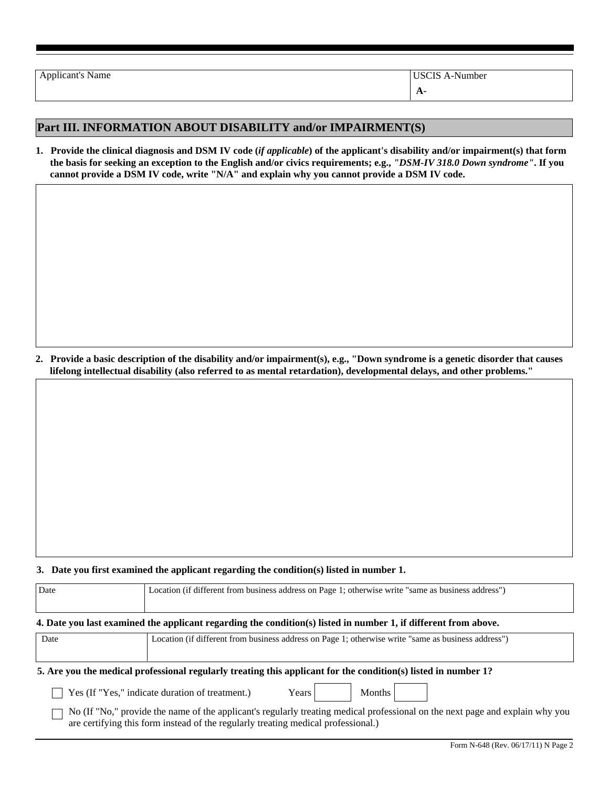| <b>Applicant's Name</b> | USCIS A-Number |
|-------------------------|----------------|
|                         | <b>A-</b>      |

# **Part III. INFORMATION ABOUT DISABILITY and/or IMPAIRMENT(S)**

**1. Provide the clinical diagnosis and DSM IV code (***if applicable***) of the applicant's disability and/or impairment(s) that form the basis for seeking an exception to the English and/or civics requirements; e.g.,** *"DSM-IV 318.0 Down syndrome"***. If you cannot provide a DSM IV code, write "N/A" and explain why you cannot provide a DSM IV code.**

**2. Provide a basic description of the disability and/or impairment(s), e.g., "Down syndrome is a genetic disorder that causes lifelong intellectual disability (also referred to as mental retardation), developmental delays, and other problems."** 

#### **3. Date you first examined the applicant regarding the condition(s) listed in number 1.**

| Date                                                                                                           | Location (if different from business address on Page 1; otherwise write "same as business address")                                                                                                                |  |  |  |  |  |
|----------------------------------------------------------------------------------------------------------------|--------------------------------------------------------------------------------------------------------------------------------------------------------------------------------------------------------------------|--|--|--|--|--|
|                                                                                                                | 4. Date you last examined the applicant regarding the condition(s) listed in number 1, if different from above.                                                                                                    |  |  |  |  |  |
| Date                                                                                                           | Location (if different from business address on Page 1; otherwise write "same as business address")                                                                                                                |  |  |  |  |  |
| 5. Are you the medical professional regularly treating this applicant for the condition(s) listed in number 1? |                                                                                                                                                                                                                    |  |  |  |  |  |
|                                                                                                                | Yes (If "Yes," indicate duration of treatment.)<br><b>Months</b><br>Years                                                                                                                                          |  |  |  |  |  |
|                                                                                                                | No (If "No," provide the name of the applicant's regularly treating medical professional on the next page and explain why you<br>are certifying this form instead of the regularly treating medical professional.) |  |  |  |  |  |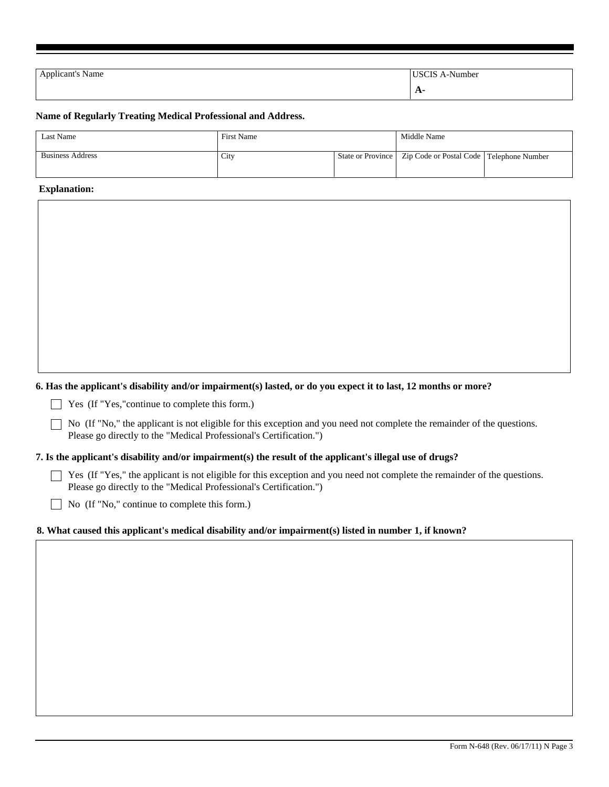| <b>Applicant's Name</b> | <b>USCIS A-Number</b> |
|-------------------------|-----------------------|
|                         |                       |
|                         | $A^-$                 |

#### **Name of Regularly Treating Medical Professional and Address.**

| <b>Last Name</b>        | <b>First Name</b> |  | Middle Name                                                    |  |
|-------------------------|-------------------|--|----------------------------------------------------------------|--|
| <b>Business Address</b> | City              |  | State or Province   Zip Code or Postal Code   Telephone Number |  |

#### **Explanation:**

#### **6. Has the applicant's disability and/or impairment(s) lasted, or do you expect it to last, 12 months or more?**

Yes (If "Yes,"continue to complete this form.)

 $\Box$  No (If "No," the applicant is not eligible for this exception and you need not complete the remainder of the questions. Please go directly to the "Medical Professional's Certification.")

#### **7. Is the applicant's disability and/or impairment(s) the result of the applicant's illegal use of drugs?**

 $\Box$  Yes (If "Yes," the applicant is not eligible for this exception and you need not complete the remainder of the questions. Please go directly to the "Medical Professional's Certification.")

No (If "No," continue to complete this form.)

### **8. What caused this applicant's medical disability and/or impairment(s) listed in number 1, if known?**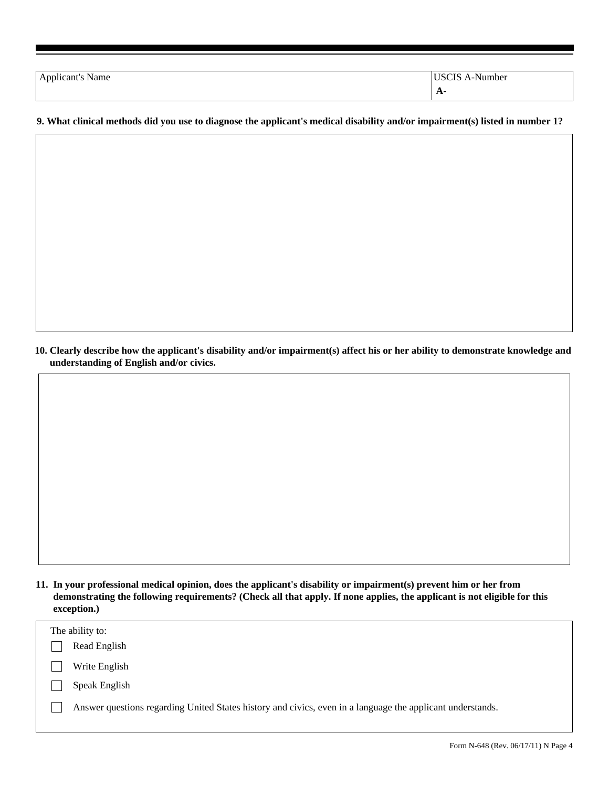| Applicant's Name | -Number<br>ാവ |
|------------------|---------------|
|                  | $A-$          |

### **9. What clinical methods did you use to diagnose the applicant's medical disability and/or impairment(s) listed in number 1?**

**10. Clearly describe how the applicant's disability and/or impairment(s) affect his or her ability to demonstrate knowledge and understanding of English and/or civics.** 

| 11. In your professional medical opinion, does the applicant's disability or impairment(s) prevent him or her from       |
|--------------------------------------------------------------------------------------------------------------------------|
| demonstrating the following requirements? (Check all that apply. If none applies, the applicant is not eligible for this |
| exception.)                                                                                                              |

| The ability to:                                                                                            |
|------------------------------------------------------------------------------------------------------------|
| Read English                                                                                               |
| Write English                                                                                              |
| Speak English                                                                                              |
| Answer questions regarding United States history and civics, even in a language the applicant understands. |
|                                                                                                            |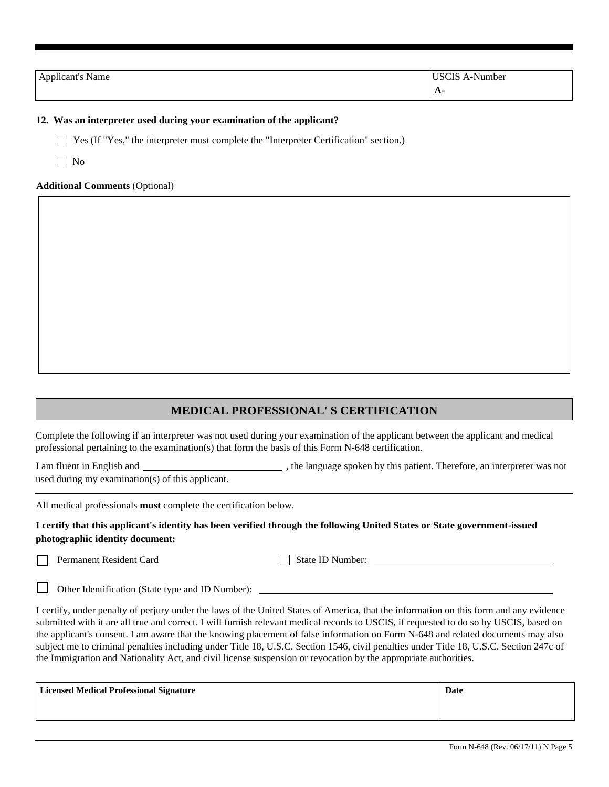| Applicant's Name | <b>USCIS A-Number</b> |
|------------------|-----------------------|
|                  | $A-$                  |

#### **12. Was an interpreter used during your examination of the applicant?**

Yes (If "Yes," the interpreter must complete the "Interpreter Certification" section.)

 $\Box$  No

#### **Additional Comments** (Optional)

# **MEDICAL PROFESSIONAL' S CERTIFICATION**

Complete the following if an interpreter was not used during your examination of the applicant between the applicant and medical professional pertaining to the examination(s) that form the basis of this Form N-648 certification.

I am fluent in English and , the language spoken by this patient. Therefore, an interpreter was not used during my examination(s) of this applicant.

All medical professionals **must** complete the certification below.

### **I certify that this applicant's identity has been verified through the following United States or State government-issued photographic identity document:**

Permanent Resident Card

State ID Number:

 $\Box$ Other Identification (State type and ID Number):

I certify, under penalty of perjury under the laws of the United States of America, that the information on this form and any evidence submitted with it are all true and correct. I will furnish relevant medical records to USCIS, if requested to do so by USCIS, based on the applicant's consent. I am aware that the knowing placement of false information on Form N-648 and related documents may also subject me to criminal penalties including under Title 18, U.S.C. Section 1546, civil penalties under Title 18, U.S.C. Section 247c of the Immigration and Nationality Act, and civil license suspension or revocation by the appropriate authorities.

| Licensed Medical Professional Signature | Date |
|-----------------------------------------|------|
|                                         |      |